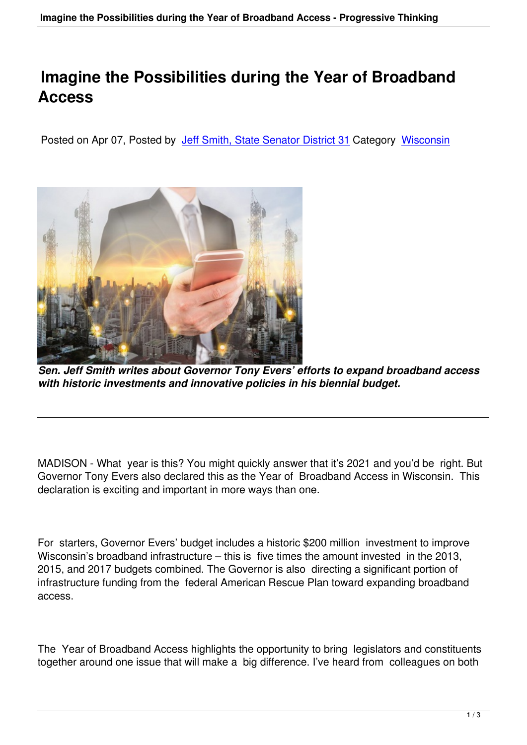## **Imagine the Possibilities during the Year of Broadband Access**

Posted on Apr 07, Posted by Jeff Smith, State Senator District 31 Category Wisconsin



*Sen. Jeff Smith writes about Governor Tony Evers' efforts to expand broadband access with historic investments and innovative policies in his biennial budget.*

MADISON - What year is this? You might quickly answer that it's 2021 and you'd be right. But Governor Tony Evers also declared this as the Year of Broadband Access in Wisconsin. This declaration is exciting and important in more ways than one.

For starters, Governor Evers' budget includes a historic \$200 million investment to improve Wisconsin's broadband infrastructure – this is five times the amount invested in the 2013, 2015, and 2017 budgets combined. The Governor is also directing a significant portion of infrastructure funding from the federal American Rescue Plan toward expanding broadband access.

The Year of Broadband Access highlights the opportunity to bring legislators and constituents together around one issue that will make a big difference. I've heard from colleagues on both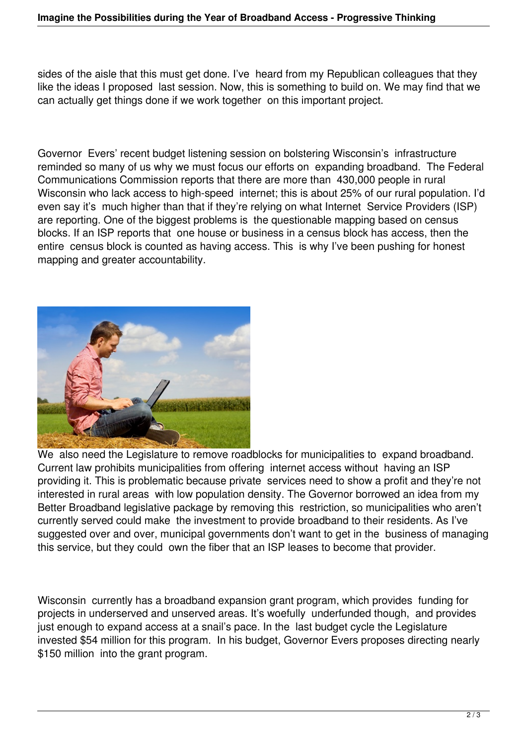sides of the aisle that this must get done. I've heard from my Republican colleagues that they like the ideas I proposed last session. Now, this is something to build on. We may find that we can actually get things done if we work together on this important project.

Governor Evers' recent budget listening session on bolstering Wisconsin's infrastructure reminded so many of us why we must focus our efforts on expanding broadband. The Federal Communications Commission reports that there are more than 430,000 people in rural Wisconsin who lack access to high-speed internet; this is about 25% of our rural population. I'd even say it's much higher than that if they're relying on what Internet Service Providers (ISP) are reporting. One of the biggest problems is the questionable mapping based on census blocks. If an ISP reports that one house or business in a census block has access, then the entire census block is counted as having access. This is why I've been pushing for honest mapping and greater accountability.



We also need the Legislature to remove roadblocks for municipalities to expand broadband. Current law prohibits municipalities from offering internet access without having an ISP providing it. This is problematic because private services need to show a profit and they're not interested in rural areas with low population density. The Governor borrowed an idea from my Better Broadband legislative package by removing this restriction, so municipalities who aren't currently served could make the investment to provide broadband to their residents. As I've suggested over and over, municipal governments don't want to get in the business of managing this service, but they could own the fiber that an ISP leases to become that provider.

Wisconsin currently has a broadband expansion grant program, which provides funding for projects in underserved and unserved areas. It's woefully underfunded though, and provides just enough to expand access at a snail's pace. In the last budget cycle the Legislature invested \$54 million for this program. In his budget, Governor Evers proposes directing nearly \$150 million into the grant program.